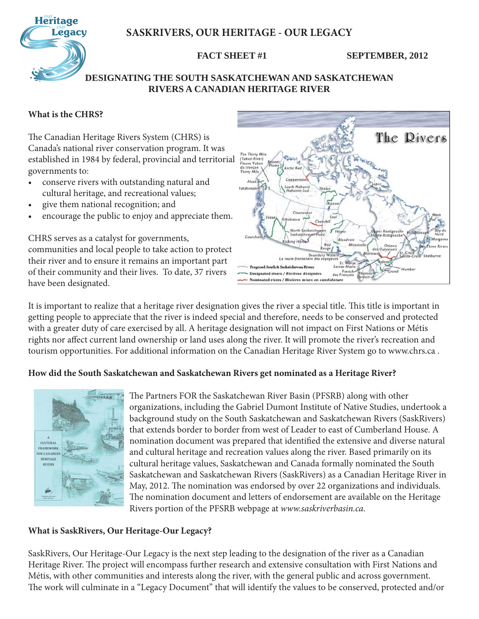

**FACT SHEET #1 SEPTEMBER, 2012** 

# **DESIGNATING THE SOUTH SASKATCHEWAN AND SASKATCHEWAN RIVERS A CANADIAN HERITAGE RIVER**

#### **What is the CHRS?**

The Canadian Heritage Rivers System (CHRS) is Canada's national river conservation program. It was established in 1984 by federal, provincial and territorial governments to:

- conserve rivers with outstanding natural and cultural heritage, and recreational values;
- give them national recognition; and
- encourage the public to enjoy and appreciate them.

CHRS serves as a catalyst for governments, communities and local people to take action to protect their river and to ensure it remains an important part of their community and their lives. To date, 37 rivers have been designated.



It is important to realize that a heritage river designation gives the river a special title. This title is important in getting people to appreciate that the river is indeed special and therefore, needs to be conserved and protected with a greater duty of care exercised by all. A heritage designation will not impact on First Nations or Métis rights nor affect current land ownership or land uses along the river. It will promote the river's recreation and tourism opportunities. For additional information on the Canadian Heritage River System go to www.chrs.ca .

## **How did the South Saskatchewan and Saskatchewan Rivers get nominated as a Heritage River?**



The Partners FOR the Saskatchewan River Basin (PFSRB) along with other organizations, including the Gabriel Dumont Institute of Native Studies, undertook a background study on the South Saskatchewan and Saskatchewan Rivers (SaskRivers) that extends border to border from west of Leader to east of Cumberland House. A nomination document was prepared that identified the extensive and diverse natural and cultural heritage and recreation values along the river. Based primarily on its cultural heritage values, Saskatchewan and Canada formally nominated the South Saskatchewan and Saskatchewan Rivers (SaskRivers) as a Canadian Heritage River in May, 2012. The nomination was endorsed by over 22 organizations and individuals. The nomination document and letters of endorsement are available on the Heritage Rivers portion of the PFSRB webpage at *www.saskriverbasin.ca.*

## **What is SaskRivers, Our Heritage-Our Legacy?**

SaskRivers, Our Heritage-Our Legacy is the next step leading to the designation of the river as a Canadian Heritage River. The project will encompass further research and extensive consultation with First Nations and Métis, with other communities and interests along the river, with the general public and across government. The work will culminate in a "Legacy Document" that will identify the values to be conserved, protected and/or